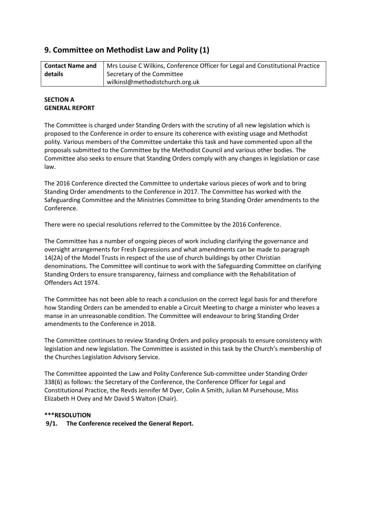# **9. Committee on Methodist Law and Polity (1)**

| <b>Contact Name and</b> | Mrs Louise C Wilkins, Conference Officer for Legal and Constitutional Practice |
|-------------------------|--------------------------------------------------------------------------------|
| details                 | Secretary of the Committee                                                     |
|                         | wilkinsl@methodistchurch.org.uk                                                |

# **SECTION A GENERAL REPORT**

The Committee is charged under Standing Orders with the scrutiny of all new legislation which is proposed to the Conference in order to ensure its coherence with existing usage and Methodist polity. Various members of the Committee undertake this task and have commented upon all the proposals submitted to the Committee by the Methodist Council and various other bodies. The Committee also seeks to ensure that Standing Orders comply with any changes in legislation or case law.

The 2016 Conference directed the Committee to undertake various pieces of work and to bring Standing Order amendments to the Conference in 2017. The Committee has worked with the Safeguarding Committee and the Ministries Committee to bring Standing Order amendments to the Conference.

There were no special resolutions referred to the Committee by the 2016 Conference.

The Committee has a number of ongoing pieces of work including clarifying the governance and oversight arrangements for Fresh Expressions and what amendments can be made to paragraph 14(2A) of the Model Trusts in respect of the use of church buildings by other Christian denominations. The Committee will continue to work with the Safeguarding Committee on clarifying Standing Orders to ensure transparency, fairness and compliance with the Rehabilitation of Offenders Act 1974.

The Committee has not been able to reach a conclusion on the correct legal basis for and therefore how Standing Orders can be amended to enable a Circuit Meeting to charge a minister who leaves a manse in an unreasonable condition. The Committee will endeavour to bring Standing Order amendments to the Conference in 2018.

The Committee continues to review Standing Orders and policy proposals to ensure consistency with legislation and new legislation. The Committee is assisted in this task by the Church's membership of the Churches Legislation Advisory Service.

The Committee appointed the Law and Polity Conference Sub-committee under Standing Order 338(6) as follows: the Secretary of the Conference, the Conference Officer for Legal and Constitutional Practice, the Revds Jennifer M Dyer, Colin A Smith, Julian M Pursehouse, Miss Elizabeth H Ovey and Mr David S Walton (Chair).

# **\*\*\*RESOLUTION**

**9/1. The Conference received the General Report.**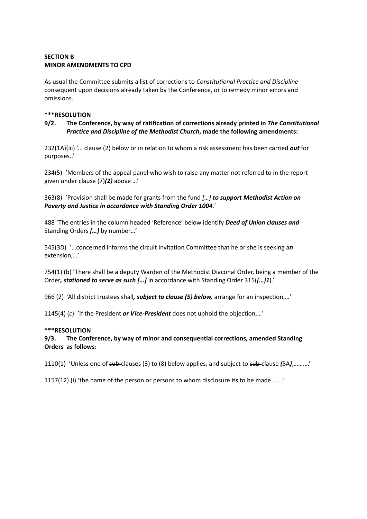# **SECTION B MINOR AMENDMENTS TO CPD**

As usual the Committee submits a list of corrections to *Constitutional Practice and Discipline* consequent upon decisions already taken by the Conference, or to remedy minor errors and omissions.

### **\*\*\*RESOLUTION**

# **9/2. The Conference, by way of ratification of corrections already printed in** *The Constitutional Practice and Discipline of the Methodist Church***, made the following amendments:**

232(1A)(iii) '... clause (2) below or in relation to whom a risk assessment has been carried *out* for purposes..'

234(5) 'Members of the appeal panel who wish to raise any matter not referred to in the report given under clause (7)*(2)* above …'

363(8) 'Provision shall be made for grants from the fund *[…] to support Methodist Action on Poverty and Justice in accordance with Standing Order 1004.*'

488 'The entries in the column headed 'Reference' below identify *Deed of Union clauses and* Standing Orders *[…]* by number…'

545(3D) '…concerned informs the circuit Invitation Committee that he or she is seeking a*n* extension,…'

754(1) (b) 'There shall be a deputy Warden of the Methodist Diaconal Order, being a member of the Order*, stationed to serve as such […]* in accordance with Standing Order 315(*[…]1*).'

966 (2) 'All district trustees shall*, subject to clause (5) below,* arrange for an inspection,…'

1145(4) (*c*) 'If the President *or Vice-President* does not uphold the objection,…'

### **\*\*\*RESOLUTION**

# **9/3. The Conference, by way of minor and consequential corrections, amended Standing Orders as follows:**

1110(1) 'Unless one of sub-clauses (3) to (8) below applies, and subject to sub-clause *(*8A*)*,……….'

1157(12) (i) 'the name of the person or persons to whom disclosure it*s* to be made …….'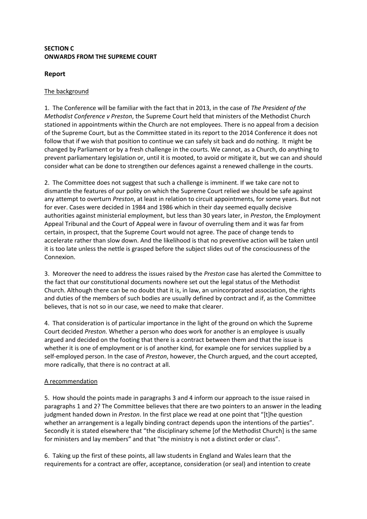# **SECTION C ONWARDS FROM THE SUPREME COURT**

# **Report**

# The background

1. The Conference will be familiar with the fact that in 2013, in the case of *The President of the Methodist Conference v Preston*, the Supreme Court held that ministers of the Methodist Church stationed in appointments within the Church are not employees. There is no appeal from a decision of the Supreme Court, but as the Committee stated in its report to the 2014 Conference it does not follow that if we wish that position to continue we can safely sit back and do nothing. It might be changed by Parliament or by a fresh challenge in the courts. We cannot, as a Church, do anything to prevent parliamentary legislation or, until it is mooted, to avoid or mitigate it, but we can and should consider what can be done to strengthen our defences against a renewed challenge in the courts.

2. The Committee does not suggest that such a challenge is imminent. If we take care not to dismantle the features of our polity on which the Supreme Court relied we should be safe against any attempt to overturn *Preston*, at least in relation to circuit appointments, for some years. But not for ever. Cases were decided in 1984 and 1986 which in their day seemed equally decisive authorities against ministerial employment, but less than 30 years later, in *Preston*, the Employment Appeal Tribunal and the Court of Appeal were in favour of overruling them and it was far from certain, in prospect, that the Supreme Court would not agree. The pace of change tends to accelerate rather than slow down. And the likelihood is that no preventive action will be taken until it is too late unless the nettle is grasped before the subject slides out of the consciousness of the Connexion.

3. Moreover the need to address the issues raised by the *Preston* case has alerted the Committee to the fact that our constitutional documents nowhere set out the legal status of the Methodist Church. Although there can be no doubt that it is, in law, an unincorporated association, the rights and duties of the members of such bodies are usually defined by contract and if, as the Committee believes, that is not so in our case, we need to make that clearer.

4. That consideration is of particular importance in the light of the ground on which the Supreme Court decided *Preston.* Whether a person who does work for another is an employee is usually argued and decided on the footing that there is a contract between them and that the issue is whether it is one of employment or is of another kind, for example one for services supplied by a self-employed person. In the case of *Preston*, however, the Church argued, and the court accepted, more radically, that there is no contract at all.

# A recommendation

5. How should the points made in paragraphs 3 and 4 inform our approach to the issue raised in paragraphs 1 and 2? The Committee believes that there are two pointers to an answer in the leading judgment handed down in *Preston*. In the first place we read at one point that "[t]he question whether an arrangement is a legally binding contract depends upon the intentions of the parties". Secondly it is stated elsewhere that "the disciplinary scheme [of the Methodist Church] is the same for ministers and lay members" and that "the ministry is not a distinct order or class".

6. Taking up the first of these points, all law students in England and Wales learn that the requirements for a contract are offer, acceptance, consideration (or seal) and intention to create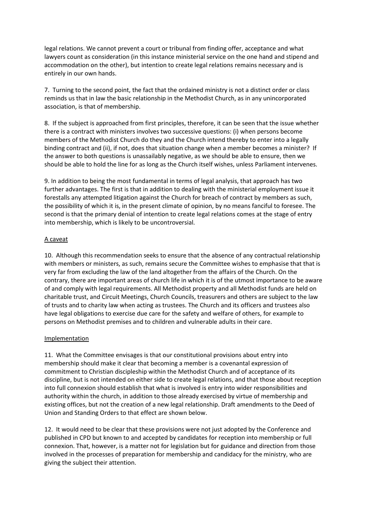legal relations. We cannot prevent a court or tribunal from finding offer, acceptance and what lawyers count as consideration (in this instance ministerial service on the one hand and stipend and accommodation on the other), but intention to create legal relations remains necessary and is entirely in our own hands.

7. Turning to the second point, the fact that the ordained ministry is not a distinct order or class reminds us that in law the basic relationship in the Methodist Church, as in any unincorporated association, is that of membership.

8. If the subject is approached from first principles, therefore, it can be seen that the issue whether there is a contract with ministers involves two successive questions: (i) when persons become members of the Methodist Church do they and the Church intend thereby to enter into a legally binding contract and (ii), if not, does that situation change when a member becomes a minister? If the answer to both questions is unassailably negative, as we should be able to ensure, then we should be able to hold the line for as long as the Church itself wishes, unless Parliament intervenes.

9. In addition to being the most fundamental in terms of legal analysis, that approach has two further advantages. The first is that in addition to dealing with the ministerial employment issue it forestalls any attempted litigation against the Church for breach of contract by members as such, the possibility of which it is, in the present climate of opinion, by no means fanciful to foresee. The second is that the primary denial of intention to create legal relations comes at the stage of entry into membership, which is likely to be uncontroversial.

# A caveat

10. Although this recommendation seeks to ensure that the absence of any contractual relationship with members or ministers, as such, remains secure the Committee wishes to emphasise that that is very far from excluding the law of the land altogether from the affairs of the Church. On the contrary, there are important areas of church life in which it is of the utmost importance to be aware of and comply with legal requirements. All Methodist property and all Methodist funds are held on charitable trust, and Circuit Meetings, Church Councils, treasurers and others are subject to the law of trusts and to charity law when acting as trustees. The Church and its officers and trustees also have legal obligations to exercise due care for the safety and welfare of others, for example to persons on Methodist premises and to children and vulnerable adults in their care.

### Implementation

11. What the Committee envisages is that our constitutional provisions about entry into membership should make it clear that becoming a member is a covenantal expression of commitment to Christian discipleship within the Methodist Church and of acceptance of its discipline, but is not intended on either side to create legal relations, and that those about reception into full connexion should establish that what is involved is entry into wider responsibilities and authority within the church, in addition to those already exercised by virtue of membership and existing offices, but not the creation of a new legal relationship. Draft amendments to the Deed of Union and Standing Orders to that effect are shown below.

12. It would need to be clear that these provisions were not just adopted by the Conference and published in CPD but known to and accepted by candidates for reception into membership or full connexion. That, however, is a matter not for legislation but for guidance and direction from those involved in the processes of preparation for membership and candidacy for the ministry, who are giving the subject their attention.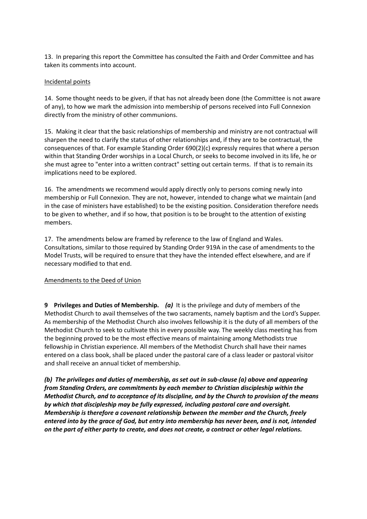13. In preparing this report the Committee has consulted the Faith and Order Committee and has taken its comments into account.

### Incidental points

14. Some thought needs to be given, if that has not already been done (the Committee is not aware of any), to how we mark the admission into membership of persons received into Full Connexion directly from the ministry of other communions.

15. Making it clear that the basic relationships of membership and ministry are not contractual will sharpen the need to clarify the status of other relationships and, if they are to be contractual, the consequences of that. For example Standing Order 690(2)(c) expressly requires that where a person within that Standing Order worships in a Local Church, or seeks to become involved in its life, he or she must agree to "enter into a written contract" setting out certain terms. If that is to remain its implications need to be explored.

16. The amendments we recommend would apply directly only to persons coming newly into membership or Full Connexion. They are not, however, intended to change what we maintain (and in the case of ministers have established) to be the existing position. Consideration therefore needs to be given to whether, and if so how, that position is to be brought to the attention of existing members.

17. The amendments below are framed by reference to the law of England and Wales. Consultations, similar to those required by Standing Order 919A in the case of amendments to the Model Trusts, will be required to ensure that they have the intended effect elsewhere, and are if necessary modified to that end.

### Amendments to the Deed of Union

**9 Privileges and Duties of Membership.** *(a)*It is the privilege and duty of members of the Methodist Church to avail themselves of the two sacraments, namely baptism and the Lord's Supper. As membership of the Methodist Church also involves fellowship it is the duty of all members of the Methodist Church to seek to cultivate this in every possible way. The weekly class meeting has from the beginning proved to be the most effective means of maintaining among Methodists true fellowship in Christian experience. All members of the Methodist Church shall have their names entered on a class book, shall be placed under the pastoral care of a class leader or pastoral visitor and shall receive an annual ticket of membership.

*(b) The privileges and duties of membership, as set out in sub-clause (a) above and appearing from Standing Orders, are commitments by each member to Christian discipleship within the Methodist Church, and to acceptance of its discipline, and by the Church to provision of the means by which that discipleship may be fully expressed, including pastoral care and oversight. Membership is therefore a covenant relationship between the member and the Church, freely entered into by the grace of God, but entry into membership has never been, and is not, intended on the part of either party to create, and does not create, a contract or other legal relations.*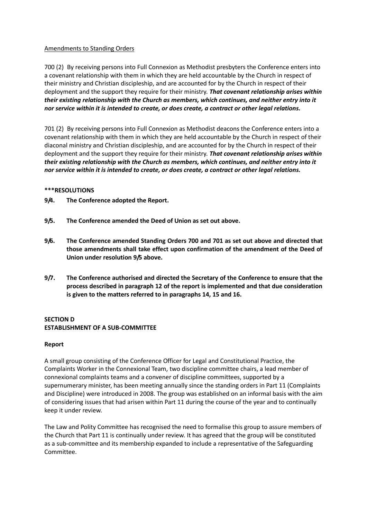# Amendments to Standing Orders

700 (2) By receiving persons into Full Connexion as Methodist presbyters the Conference enters into a covenant relationship with them in which they are held accountable by the Church in respect of their ministry and Christian discipleship, and are accounted for by the Church in respect of their deployment and the support they require for their ministry. *That covenant relationship arises within their existing relationship with the Church as members, which continues, and neither entry into it nor service within it is intended to create, or does create, a contract or other legal relations.*

701 (2) By receiving persons into Full Connexion as Methodist deacons the Conference enters into a covenant relationship with them in which they are held accountable by the Church in respect of their diaconal ministry and Christian discipleship, and are accounted for by the Church in respect of their deployment and the support they require for their ministry. *That covenant relationship arises within their existing relationship with the Church as members, which continues, and neither entry into it nor service within it is intended to create, or does create, a contract or other legal relations.*

### **\*\*\*RESOLUTIONS**

- **9/4. The Conference adopted the Report.**
- **9/5. The Conference amended the Deed of Union as set out above.**
- **9/6. The Conference amended Standing Orders 700 and 701 as set out above and directed that those amendments shall take effect upon confirmation of the amendment of the Deed of Union under resolution 9/5 above.**
- **9/7. The Conference authorised and directed the Secretary of the Conference to ensure that the process described in paragraph 12 of the report is implemented and that due consideration is given to the matters referred to in paragraphs 14, 15 and 16.**

# **SECTION D ESTABLISHMENT OF A SUB-COMMITTEE**

### **Report**

A small group consisting of the Conference Officer for Legal and Constitutional Practice, the Complaints Worker in the Connexional Team, two discipline committee chairs, a lead member of connexional complaints teams and a convener of discipline committees, supported by a supernumerary minister, has been meeting annually since the standing orders in Part 11 (Complaints and Discipline) were introduced in 2008. The group was established on an informal basis with the aim of considering issues that had arisen within Part 11 during the course of the year and to continually keep it under review.

The Law and Polity Committee has recognised the need to formalise this group to assure members of the Church that Part 11 is continually under review. It has agreed that the group will be constituted as a sub-committee and its membership expanded to include a representative of the Safeguarding Committee.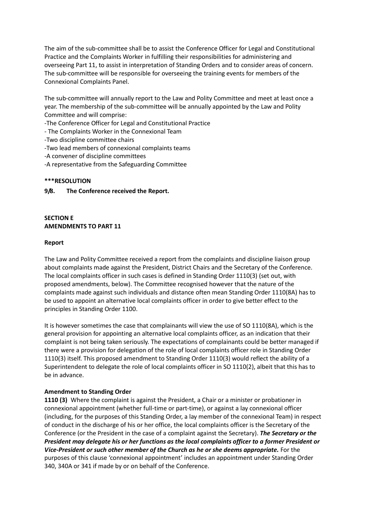The aim of the sub-committee shall be to assist the Conference Officer for Legal and Constitutional Practice and the Complaints Worker in fulfilling their responsibilities for administering and overseeing Part 11, to assist in interpretation of Standing Orders and to consider areas of concern. The sub-committee will be responsible for overseeing the training events for members of the Connexional Complaints Panel.

The sub-committee will annually report to the Law and Polity Committee and meet at least once a year. The membership of the sub-committee will be annually appointed by the Law and Polity Committee and will comprise:

-The Conference Officer for Legal and Constitutional Practice

- The Complaints Worker in the Connexional Team

-Two discipline committee chairs

-Two lead members of connexional complaints teams

-A convener of discipline committees

-A representative from the Safeguarding Committee

### **\*\*\*RESOLUTION**

**9/8. The Conference received the Report.**

# **SECTION E AMENDMENTS TO PART 11**

#### **Report**

The Law and Polity Committee received a report from the complaints and discipline liaison group about complaints made against the President, District Chairs and the Secretary of the Conference. The local complaints officer in such cases is defined in Standing Order 1110(3) (set out, with proposed amendments, below). The Committee recognised however that the nature of the complaints made against such individuals and distance often mean Standing Order 1110(8A) has to be used to appoint an alternative local complaints officer in order to give better effect to the principles in Standing Order 1100.

It is however sometimes the case that complainants will view the use of SO 1110(8A), which is the general provision for appointing an alternative local complaints officer, as an indication that their complaint is not being taken seriously. The expectations of complainants could be better managed if there were a provision for delegation of the role of local complaints officer role in Standing Order 1110(3) itself. This proposed amendment to Standing Order 1110(3) would reflect the ability of a Superintendent to delegate the role of local complaints officer in SO 1110(2), albeit that this has to be in advance.

### **Amendment to Standing Order**

**1110 (3)** Where the complaint is against the President, a Chair or a minister or probationer in connexional appointment (whether full-time or part-time), or against a lay connexional officer (including, for the purposes of this Standing Order, a lay member of the connexional Team) in respect of conduct in the discharge of his or her office, the local complaints officer is the Secretary of the Conference (or the President in the case of a complaint against the Secretary). *The Secretary or the President may delegate his or her functions as the local complaints officer to a former President or Vice-President or such other member of the Church as he or she deems appropriate.* For the purposes of this clause 'connexional appointment' includes an appointment under Standing Order 340, 340A or 341 if made by or on behalf of the Conference.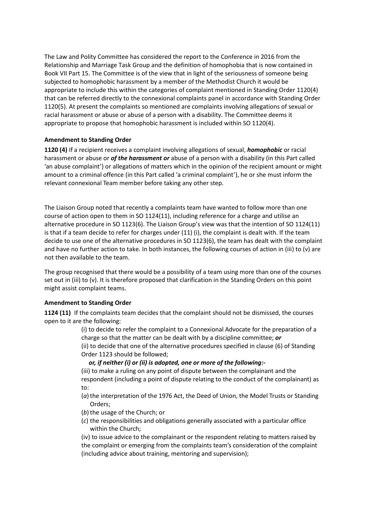The Law and Polity Committee has considered the report to the Conference in 2016 from the Relationship and Marriage Task Group and the definition of homophobia that is now contained in Book VII Part 15. The Committee is of the view that in light of the seriousness of someone being subjected to homophobic harassment by a member of the Methodist Church it would be appropriate to include this within the categories of complaint mentioned in Standing Order 1120(4) that can be referred directly to the connexional complaints panel in accordance with Standing Order 1120(5). At present the complaints so mentioned are complaints involving allegations of sexual or racial harassment or abuse or abuse of a person with a disability. The Committee deems it appropriate to propose that homophobic harassment is included within SO 1120(4).

# **Amendment to Standing Order**

**1120 (4)** If a recipient receives a complaint involving allegations of sexual, *homophobic* or racial harassment or abuse or *of the harassment or* abuse of a person with a disability (in this Part called 'an abuse complaint') or allegations of matters which in the opinion of the recipient amount or might amount to a criminal offence (in this Part called 'a criminal complaint'), he or she must inform the relevant connexional Team member before taking any other step.

The Liaison Group noted that recently a complaints team have wanted to follow more than one course of action open to them in SO 1124(11), including reference for a charge and utilise an alternative procedure in SO 1123(6). The Liaison Group's view was that the intention of SO 1124(11) is that if a team decide to refer for charges under (11) (i), the complaint is dealt with. If the team decide to use one of the alternative procedures in SO 1123(6), the team has dealt with the complaint and have no further action to take. In both instances, the following courses of action in (iii) to (v) are not then available to the team.

The group recognised that there would be a possibility of a team using more than one of the courses set out in (iii) to (v). It is therefore proposed that clarification in the Standing Orders on this point might assist complaint teams.

### **Amendment to Standing Order**

**1124 (11)** If the complaints team decides that the complaint should not be dismissed, the courses open to it are the following:

> (i) to decide to refer the complaint to a Connexional Advocate for the preparation of a charge so that the matter can be dealt with by a discipline committee; *or* (ii) to decide that one of the alternative procedures specified in clause (6) of Standing Order 1123 should be followed;

### *or, if neither (i) or (ii) is adopted, one or more of the following:-*

(iii) to make a ruling on any point of dispute between the complainant and the respondent (including a point of dispute relating to the conduct of the complainant) as to:

- (*a*) the interpretation of the 1976 Act, the Deed of Union, the Model Trusts or Standing Orders;
- (b) the usage of the Church; or
- (*c*) the responsibilities and obligations generally associated with a particular office within the Church;

(iv) to issue advice to the complainant or the respondent relating to matters raised by the complaint or emerging from the complaints team's consideration of the complaint (including advice about training, mentoring and supervision);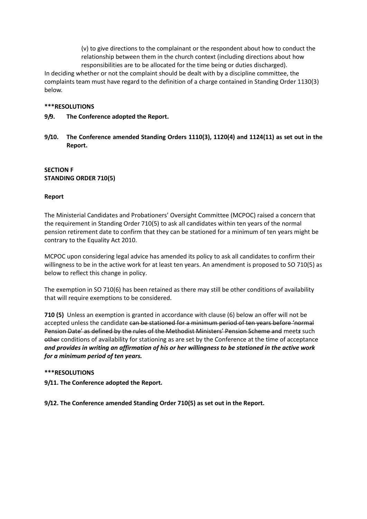(v) to give directions to the complainant or the respondent about how to conduct the relationship between them in the church context (including directions about how responsibilities are to be allocated for the time being or duties discharged).

In deciding whether or not the complaint should be dealt with by a discipline committee, the complaints team must have regard to the definition of a charge contained in Standing Order 1130(3) below.

### **\*\*\*RESOLUTIONS**

- **9/9. The Conference adopted the Report.**
- **9/10. The Conference amended Standing Orders 1110(3), 1120(4) and 1124(11) as set out in the Report.**

# **SECTION F STANDING ORDER 710(5)**

# **Report**

The Ministerial Candidates and Probationers' Oversight Committee (MCPOC) raised a concern that the requirement in Standing Order 710(5) to ask all candidates within ten years of the normal pension retirement date to confirm that they can be stationed for a minimum of ten years might be contrary to the Equality Act 2010.

MCPOC upon considering legal advice has amended its policy to ask all candidates to confirm their willingness to be in the active work for at least ten years. An amendment is proposed to SO 710(5) as below to reflect this change in policy.

The exemption in SO 710(6) has been retained as there may still be other conditions of availability that will require exemptions to be considered.

**710 (5)** Unless an exemption is granted in accordance with clause (6) below an offer will not be accepted unless the candidate can be stationed for a minimum period of ten years before 'normal Pension Date' as defined by the rules of the Methodist Ministers' Pension Scheme and meet*s* such other conditions of availability for stationing as are set by the Conference at the time of acceptance *and provides in writing an affirmation of his or her willingness to be stationed in the active work for a minimum period of ten years.*

### **\*\*\*RESOLUTIONS**

**9/11. The Conference adopted the Report.**

**9/12. The Conference amended Standing Order 710(5) as set out in the Report.**